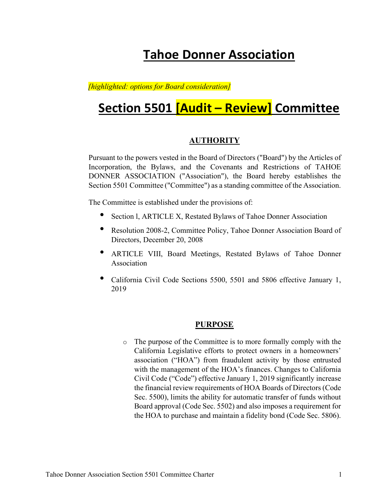# Tahoe Donner Association

## [highlighted: options for Board consideration]

# Section 5501 [Audit – Review] Committee

## **AUTHORITY**

Pursuant to the powers vested in the Board of Directors ("Board") by the Articles of Incorporation, the Bylaws, and the Covenants and Restrictions of TAHOE DONNER ASSOCIATION ("Association"), the Board hereby establishes the Section 5501 Committee ("Committee") as a standing committee of the Association.

The Committee is established under the provisions of:

- Section l, ARTICLE X, Restated Bylaws of Tahoe Donner Association
- Resolution 2008-2, Committee Policy, Tahoe Donner Association Board of Directors, December 20, 2008
- ARTICLE VIII, Board Meetings, Restated Bylaws of Tahoe Donner Association
- California Civil Code Sections 5500, 5501 and 5806 effective January 1, 2019

#### PURPOSE

o The purpose of the Committee is to more formally comply with the California Legislative efforts to protect owners in a homeowners' association ("HOA") from fraudulent activity by those entrusted with the management of the HOA's finances. Changes to California Civil Code ("Code") effective January 1, 2019 significantly increase the financial review requirements of HOA Boards of Directors (Code Sec. 5500), limits the ability for automatic transfer of funds without Board approval (Code Sec. 5502) and also imposes a requirement for the HOA to purchase and maintain a fidelity bond (Code Sec. 5806).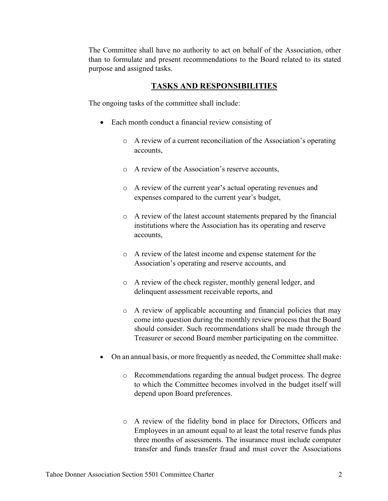The Committee shall have no authority to act on behalf of the Association, other than to formulate and present recommendations to the Board related to its stated purpose and assigned tasks.

## TASKS AND RESPONSIBILITIES

The ongoing tasks of the committee shall include:

- Each month conduct a financial review consisting of
	- o A review of a current reconciliation of the Association's operating accounts,
	- o A review of the Association's reserve accounts,
	- o A review of the current year's actual operating revenues and expenses compared to the current year's budget,
	- o A review of the latest account statements prepared by the financial institutions where the Association has its operating and reserve accounts,
	- o A review of the latest income and expense statement for the Association's operating and reserve accounts, and
	- o A review of the check register, monthly general ledger, and delinquent assessment receivable reports, and
	- o A review of applicable accounting and financial policies that may come into question during the monthly review process that the Board should consider. Such recommendations shall be made through the Treasurer or second Board member participating on the committee.
- On an annual basis, or more frequently as needed, the Committee shall make:
	- o Recommendations regarding the annual budget process. The degree to which the Committee becomes involved in the budget itself will depend upon Board preferences.
	- o A review of the fidelity bond in place for Directors, Officers and Employees in an amount equal to at least the total reserve funds plus three months of assessments. The insurance must include computer transfer and funds transfer fraud and must cover the Associations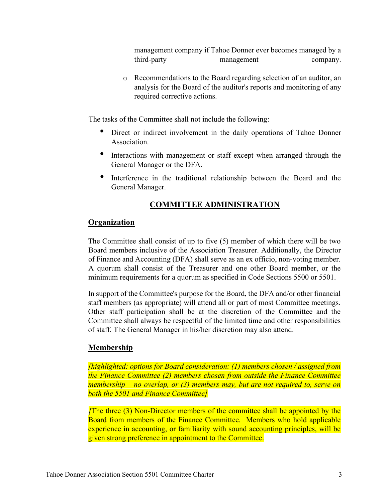management company if Tahoe Donner ever becomes managed by a third-party management company.

o Recommendations to the Board regarding selection of an auditor, an analysis for the Board of the auditor's reports and monitoring of any required corrective actions.

The tasks of the Committee shall not include the following:

- Direct or indirect involvement in the daily operations of Tahoe Donner Association.
- Interactions with management or staff except when arranged through the General Manager or the DFA.
- Interference in the traditional relationship between the Board and the General Manager.

## COMMITTEE ADMINISTRATION

#### **Organization**

The Committee shall consist of up to five (5) member of which there will be two Board members inclusive of the Association Treasurer. Additionally, the Director of Finance and Accounting (DFA) shall serve as an ex officio, non-voting member. A quorum shall consist of the Treasurer and one other Board member, or the minimum requirements for a quorum as specified in Code Sections 5500 or 5501.

In support of the Committee's purpose for the Board, the DFA and/or other financial staff members (as appropriate) will attend all or part of most Committee meetings. Other staff participation shall be at the discretion of the Committee and the Committee shall always be respectful of the limited time and other responsibilities of staff. The General Manager in his/her discretion may also attend.

#### **Membership**

[highlighted: options for Board consideration: (1) members chosen / assigned from the Finance Committee (2) members chosen from outside the Finance Committee membership – no overlap, or (3) members may, but are not required to, serve on both the 5501 and Finance Committee]

[The three (3) Non-Director members of the committee shall be appointed by the Board from members of the Finance Committee. Members who hold applicable experience in accounting, or familiarity with sound accounting principles, will be given strong preference in appointment to the Committee.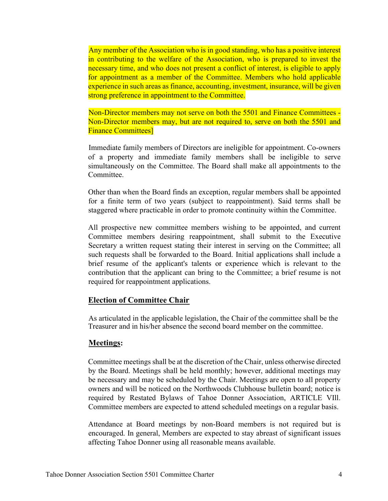Any member of the Association who is in good standing, who has a positive interest in contributing to the welfare of the Association, who is prepared to invest the necessary time, and who does not present a conflict of interest, is eligible to apply for appointment as a member of the Committee. Members who hold applicable experience in such areas as finance, accounting, investment, insurance, will be given strong preference in appointment to the Committee.

Non-Director members may not serve on both the 5501 and Finance Committees - Non-Director members may, but are not required to, serve on both the 5501 and Finance Committees]

Immediate family members of Directors are ineligible for appointment. Co-owners of a property and immediate family members shall be ineligible to serve simultaneously on the Committee. The Board shall make all appointments to the Committee.

Other than when the Board finds an exception, regular members shall be appointed for a finite term of two years (subject to reappointment). Said terms shall be staggered where practicable in order to promote continuity within the Committee.

All prospective new committee members wishing to be appointed, and current Committee members desiring reappointment, shall submit to the Executive Secretary a written request stating their interest in serving on the Committee; all such requests shall be forwarded to the Board. Initial applications shall include a brief resume of the applicant's talents or experience which is relevant to the contribution that the applicant can bring to the Committee; a brief resume is not required for reappointment applications.

#### Election of Committee Chair

As articulated in the applicable legislation, the Chair of the committee shall be the Treasurer and in his/her absence the second board member on the committee.

#### Meetings:

Committee meetings shall be at the discretion of the Chair, unless otherwise directed by the Board. Meetings shall be held monthly; however, additional meetings may be necessary and may be scheduled by the Chair. Meetings are open to all property owners and will be noticed on the Northwoods Clubhouse bulletin board; notice is required by Restated Bylaws of Tahoe Donner Association, ARTICLE VIll. Committee members are expected to attend scheduled meetings on a regular basis.

Attendance at Board meetings by non-Board members is not required but is encouraged. In general, Members are expected to stay abreast of significant issues affecting Tahoe Donner using all reasonable means available.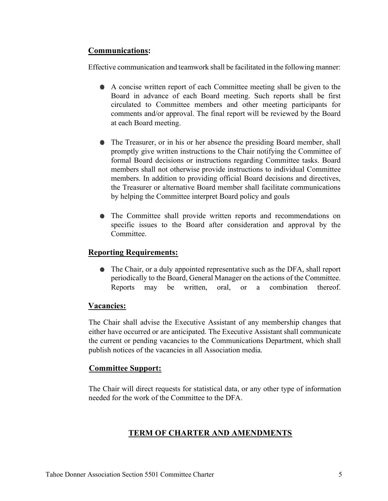## Communications:

Effective communication and teamwork shall be facilitated in the following manner:

- A concise written report of each Committee meeting shall be given to the Board in advance of each Board meeting. Such reports shall be first circulated to Committee members and other meeting participants for comments and/or approval. The final report will be reviewed by the Board at each Board meeting.
- The Treasurer, or in his or her absence the presiding Board member, shall promptly give written instructions to the Chair notifying the Committee of formal Board decisions or instructions regarding Committee tasks. Board members shall not otherwise provide instructions to individual Committee members. In addition to providing official Board decisions and directives, the Treasurer or alternative Board member shall facilitate communications by helping the Committee interpret Board policy and goals
- The Committee shall provide written reports and recommendations on specific issues to the Board after consideration and approval by the Committee.

## Reporting Requirements:

The Chair, or a duly appointed representative such as the DFA, shall report periodically to the Board, General Manager on the actions of the Committee. Reports may be written, oral, or a combination thereof.

## Vacancies:

The Chair shall advise the Executive Assistant of any membership changes that either have occurred or are anticipated. The Executive Assistant shall communicate the current or pending vacancies to the Communications Department, which shall publish notices of the vacancies in all Association media.

## Committee Support:

The Chair will direct requests for statistical data, or any other type of information needed for the work of the Committee to the DFA.

## TERM OF CHARTER AND AMENDMENTS